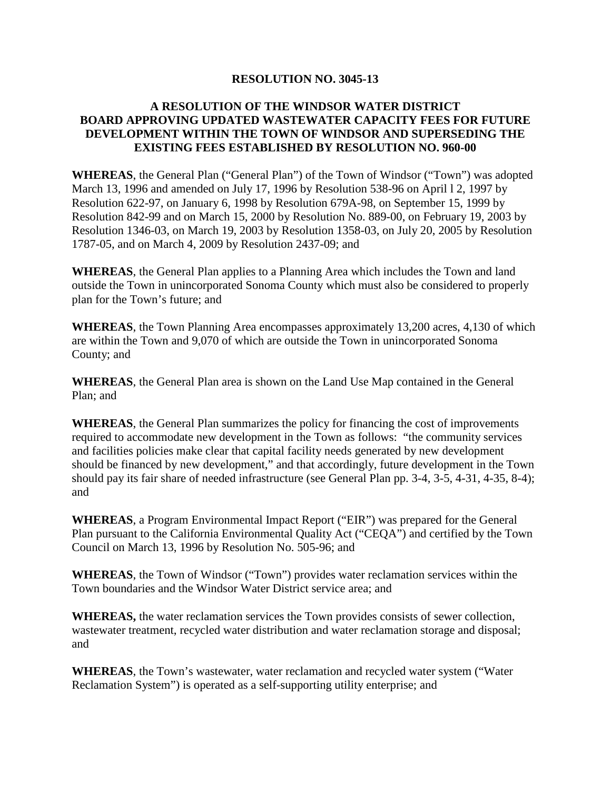### **RESOLUTION NO. 3045-13**

## **A RESOLUTION OF THE WINDSOR WATER DISTRICT BOARD APPROVING UPDATED WASTEWATER CAPACITY FEES FOR FUTURE DEVELOPMENT WITHIN THE TOWN OF WINDSOR AND SUPERSEDING THE EXISTING FEES ESTABLISHED BY RESOLUTION NO. 960-00**

**WHEREAS**, the General Plan ("General Plan") of the Town of Windsor ("Town") was adopted March 13, 1996 and amended on July 17, 1996 by Resolution 538-96 on April l 2, 1997 by Resolution 622-97, on January 6, 1998 by Resolution 679A-98, on September 15, 1999 by Resolution 842-99 and on March 15, 2000 by Resolution No. 889-00, on February 19, 2003 by Resolution 1346-03, on March 19, 2003 by Resolution 1358-03, on July 20, 2005 by Resolution 1787-05, and on March 4, 2009 by Resolution 2437-09; and

**WHEREAS**, the General Plan applies to a Planning Area which includes the Town and land outside the Town in unincorporated Sonoma County which must also be considered to properly plan for the Town's future; and

**WHEREAS**, the Town Planning Area encompasses approximately 13,200 acres, 4,130 of which are within the Town and 9,070 of which are outside the Town in unincorporated Sonoma County; and

**WHEREAS**, the General Plan area is shown on the Land Use Map contained in the General Plan; and

**WHEREAS**, the General Plan summarizes the policy for financing the cost of improvements required to accommodate new development in the Town as follows: "the community services and facilities policies make clear that capital facility needs generated by new development should be financed by new development," and that accordingly, future development in the Town should pay its fair share of needed infrastructure (see General Plan pp. 3-4, 3-5, 4-31, 4-35, 8-4); and

**WHEREAS**, a Program Environmental Impact Report ("EIR") was prepared for the General Plan pursuant to the California Environmental Quality Act ("CEQA") and certified by the Town Council on March 13, 1996 by Resolution No. 505-96; and

**WHEREAS**, the Town of Windsor ("Town") provides water reclamation services within the Town boundaries and the Windsor Water District service area; and

**WHEREAS,** the water reclamation services the Town provides consists of sewer collection, wastewater treatment, recycled water distribution and water reclamation storage and disposal; and

**WHEREAS**, the Town's wastewater, water reclamation and recycled water system ("Water Reclamation System") is operated as a self-supporting utility enterprise; and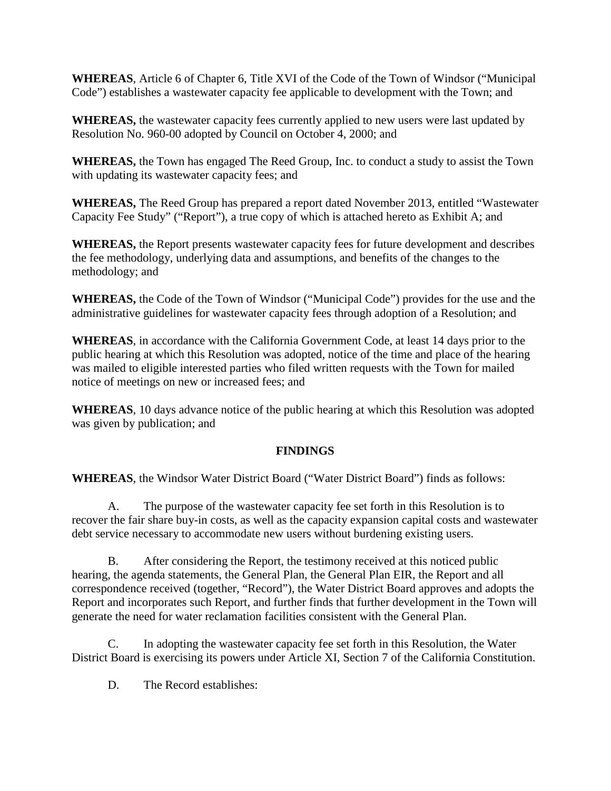**WHEREAS**, Article 6 of Chapter 6, Title XVI of the Code of the Town of Windsor ("Municipal Code") establishes a wastewater capacity fee applicable to development with the Town; and

**WHEREAS,** the wastewater capacity fees currently applied to new users were last updated by Resolution No. 960-00 adopted by Council on October 4, 2000; and

**WHEREAS,** the Town has engaged The Reed Group, Inc. to conduct a study to assist the Town with updating its wastewater capacity fees; and

**WHEREAS,** The Reed Group has prepared a report dated November 2013, entitled "Wastewater Capacity Fee Study" ("Report"), a true copy of which is attached hereto as Exhibit A; and

**WHEREAS,** the Report presents wastewater capacity fees for future development and describes the fee methodology, underlying data and assumptions, and benefits of the changes to the methodology; and

**WHEREAS,** the Code of the Town of Windsor ("Municipal Code") provides for the use and the administrative guidelines for wastewater capacity fees through adoption of a Resolution; and

**WHEREAS**, in accordance with the California Government Code, at least 14 days prior to the public hearing at which this Resolution was adopted, notice of the time and place of the hearing was mailed to eligible interested parties who filed written requests with the Town for mailed notice of meetings on new or increased fees; and

**WHEREAS**, 10 days advance notice of the public hearing at which this Resolution was adopted was given by publication; and

# **FINDINGS**

**WHEREAS**, the Windsor Water District Board ("Water District Board") finds as follows:

A. The purpose of the wastewater capacity fee set forth in this Resolution is to recover the fair share buy-in costs, as well as the capacity expansion capital costs and wastewater debt service necessary to accommodate new users without burdening existing users.

B. After considering the Report, the testimony received at this noticed public hearing, the agenda statements, the General Plan, the General Plan EIR, the Report and all correspondence received (together, "Record"), the Water District Board approves and adopts the Report and incorporates such Report, and further finds that further development in the Town will generate the need for water reclamation facilities consistent with the General Plan.

C. In adopting the wastewater capacity fee set forth in this Resolution, the Water District Board is exercising its powers under Article XI, Section 7 of the California Constitution.

D. The Record establishes: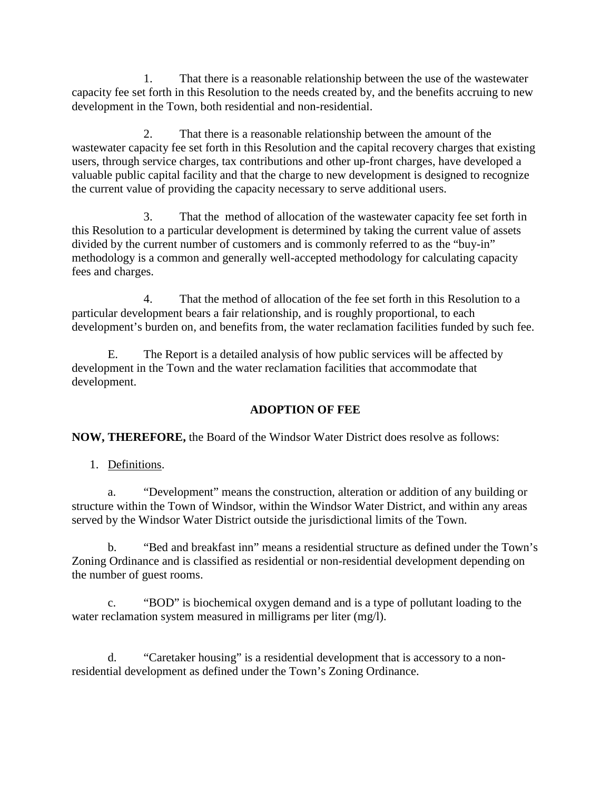1. That there is a reasonable relationship between the use of the wastewater capacity fee set forth in this Resolution to the needs created by, and the benefits accruing to new development in the Town, both residential and non-residential.

2. That there is a reasonable relationship between the amount of the wastewater capacity fee set forth in this Resolution and the capital recovery charges that existing users, through service charges, tax contributions and other up-front charges, have developed a valuable public capital facility and that the charge to new development is designed to recognize the current value of providing the capacity necessary to serve additional users.

3. That the method of allocation of the wastewater capacity fee set forth in this Resolution to a particular development is determined by taking the current value of assets divided by the current number of customers and is commonly referred to as the "buy-in" methodology is a common and generally well-accepted methodology for calculating capacity fees and charges.

4. That the method of allocation of the fee set forth in this Resolution to a particular development bears a fair relationship, and is roughly proportional, to each development's burden on, and benefits from, the water reclamation facilities funded by such fee.

E. The Report is a detailed analysis of how public services will be affected by development in the Town and the water reclamation facilities that accommodate that development.

# **ADOPTION OF FEE**

**NOW, THEREFORE,** the Board of the Windsor Water District does resolve as follows:

1. Definitions.

a. "Development" means the construction, alteration or addition of any building or structure within the Town of Windsor, within the Windsor Water District, and within any areas served by the Windsor Water District outside the jurisdictional limits of the Town.

b. "Bed and breakfast inn" means a residential structure as defined under the Town's Zoning Ordinance and is classified as residential or non-residential development depending on the number of guest rooms.

c. "BOD" is biochemical oxygen demand and is a type of pollutant loading to the water reclamation system measured in milligrams per liter (mg/l).

d. "Caretaker housing" is a residential development that is accessory to a nonresidential development as defined under the Town's Zoning Ordinance.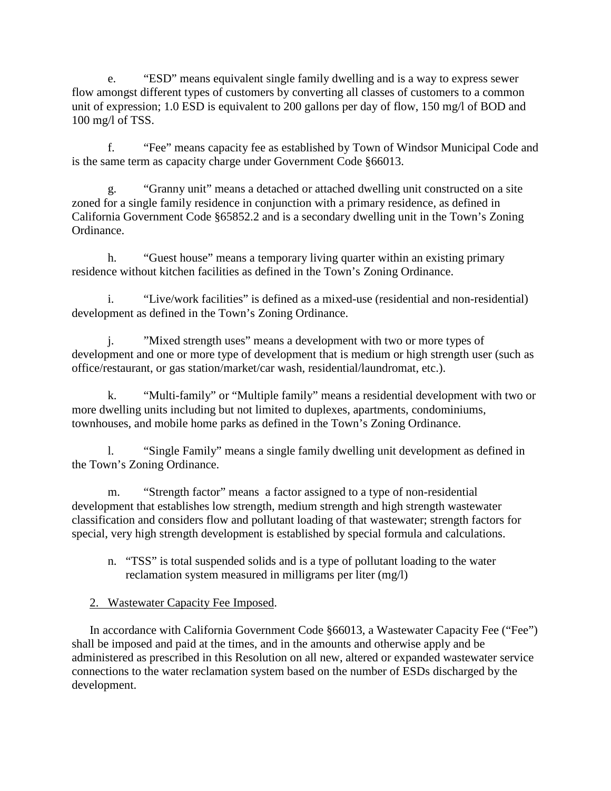e. "ESD" means equivalent single family dwelling and is a way to express sewer flow amongst different types of customers by converting all classes of customers to a common unit of expression; 1.0 ESD is equivalent to 200 gallons per day of flow, 150 mg/l of BOD and 100 mg/l of TSS.

f. "Fee" means capacity fee as established by Town of Windsor Municipal Code and is the same term as capacity charge under Government Code §66013.

g. "Granny unit" means a detached or attached dwelling unit constructed on a site zoned for a single family residence in conjunction with a primary residence, as defined in California Government Code §65852.2 and is a secondary dwelling unit in the Town's Zoning Ordinance.

h. "Guest house" means a temporary living quarter within an existing primary residence without kitchen facilities as defined in the Town's Zoning Ordinance.

i. "Live/work facilities" is defined as a mixed-use (residential and non-residential) development as defined in the Town's Zoning Ordinance.

j. "Mixed strength uses" means a development with two or more types of development and one or more type of development that is medium or high strength user (such as office/restaurant, or gas station/market/car wash, residential/laundromat, etc.).

k. "Multi-family" or "Multiple family" means a residential development with two or more dwelling units including but not limited to duplexes, apartments, condominiums, townhouses, and mobile home parks as defined in the Town's Zoning Ordinance.

l. "Single Family" means a single family dwelling unit development as defined in the Town's Zoning Ordinance.

m. "Strength factor" means a factor assigned to a type of non-residential development that establishes low strength, medium strength and high strength wastewater classification and considers flow and pollutant loading of that wastewater; strength factors for special, very high strength development is established by special formula and calculations.

n. "TSS" is total suspended solids and is a type of pollutant loading to the water reclamation system measured in milligrams per liter (mg/l)

# 2. Wastewater Capacity Fee Imposed.

In accordance with California Government Code §66013, a Wastewater Capacity Fee ("Fee") shall be imposed and paid at the times, and in the amounts and otherwise apply and be administered as prescribed in this Resolution on all new, altered or expanded wastewater service connections to the water reclamation system based on the number of ESDs discharged by the development.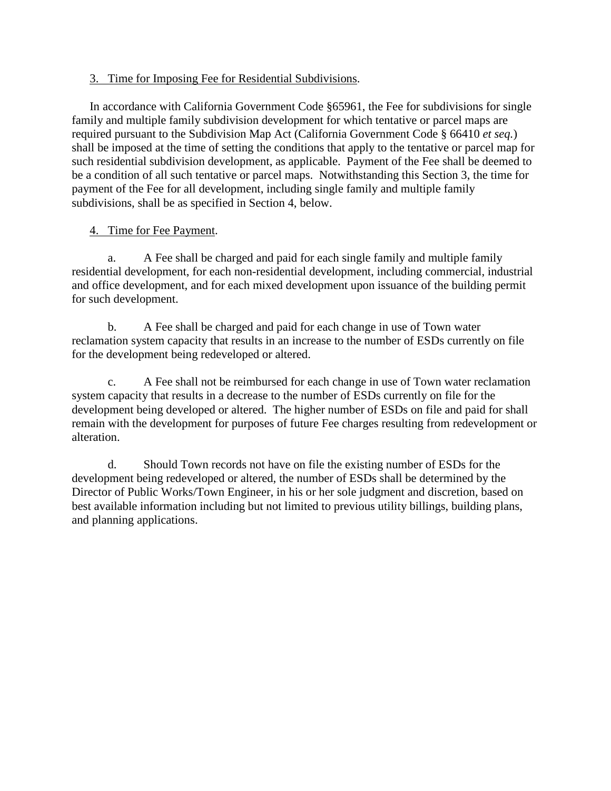### 3. Time for Imposing Fee for Residential Subdivisions.

In accordance with California Government Code §65961, the Fee for subdivisions for single family and multiple family subdivision development for which tentative or parcel maps are required pursuant to the Subdivision Map Act (California Government Code § 66410 *et seq.*) shall be imposed at the time of setting the conditions that apply to the tentative or parcel map for such residential subdivision development, as applicable. Payment of the Fee shall be deemed to be a condition of all such tentative or parcel maps. Notwithstanding this Section 3, the time for payment of the Fee for all development, including single family and multiple family subdivisions, shall be as specified in Section 4, below.

# 4. Time for Fee Payment.

a. A Fee shall be charged and paid for each single family and multiple family residential development, for each non-residential development, including commercial, industrial and office development, and for each mixed development upon issuance of the building permit for such development.

b. A Fee shall be charged and paid for each change in use of Town water reclamation system capacity that results in an increase to the number of ESDs currently on file for the development being redeveloped or altered.

c. A Fee shall not be reimbursed for each change in use of Town water reclamation system capacity that results in a decrease to the number of ESDs currently on file for the development being developed or altered. The higher number of ESDs on file and paid for shall remain with the development for purposes of future Fee charges resulting from redevelopment or alteration.

d. Should Town records not have on file the existing number of ESDs for the development being redeveloped or altered, the number of ESDs shall be determined by the Director of Public Works/Town Engineer, in his or her sole judgment and discretion, based on best available information including but not limited to previous utility billings, building plans, and planning applications.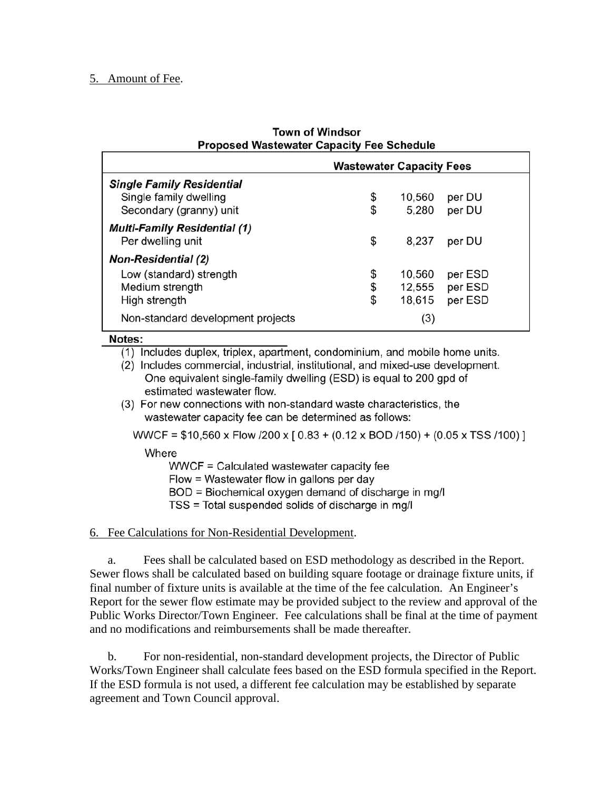### 5. Amount of Fee.

| <b>Town of Windsor</b>                           |  |
|--------------------------------------------------|--|
| <b>Proposed Wastewater Capacity Fee Schedule</b> |  |

|                                                          | <b>Wastewater Capacity Fees</b> |        |         |  |
|----------------------------------------------------------|---------------------------------|--------|---------|--|
| <b>Single Family Residential</b>                         |                                 |        |         |  |
| Single family dwelling                                   | \$                              | 10,560 | per DU  |  |
| Secondary (granny) unit                                  | \$                              | 5.280  | per DU  |  |
| <b>Multi-Family Residential (1)</b><br>Per dwelling unit | \$                              | 8,237  | per DU  |  |
| <b>Non-Residential (2)</b>                               |                                 |        |         |  |
| Low (standard) strength                                  | \$                              | 10,560 | per ESD |  |
| Medium strength                                          | \$                              | 12,555 | per ESD |  |
| High strength                                            | \$                              | 18,615 | per ESD |  |
| Non-standard development projects                        |                                 | (3)    |         |  |

#### Notes:

(1) Includes duplex, triplex, apartment, condominium, and mobile home units.

(2) Includes commercial, industrial, institutional, and mixed-use development. One equivalent single-family dwelling (ESD) is equal to 200 gpd of estimated wastewater flow.

(3) For new connections with non-standard waste characteristics, the wastewater capacity fee can be determined as follows:

WWCF =  $$10,560 \times$  Flow /200 x [0.83 + (0.12 x BOD /150) + (0.05 x TSS /100) ]

Where

WWCF = Calculated wastewater capacity fee

Flow = Wastewater flow in gallons per day

BOD = Biochemical oxygen demand of discharge in mg/l

TSS = Total suspended solids of discharge in mg/l

### 6. Fee Calculations for Non-Residential Development.

a. Fees shall be calculated based on ESD methodology as described in the Report. Sewer flows shall be calculated based on building square footage or drainage fixture units, if final number of fixture units is available at the time of the fee calculation. An Engineer's Report for the sewer flow estimate may be provided subject to the review and approval of the Public Works Director/Town Engineer. Fee calculations shall be final at the time of payment and no modifications and reimbursements shall be made thereafter.

b. For non-residential, non-standard development projects, the Director of Public Works/Town Engineer shall calculate fees based on the ESD formula specified in the Report. If the ESD formula is not used, a different fee calculation may be established by separate agreement and Town Council approval.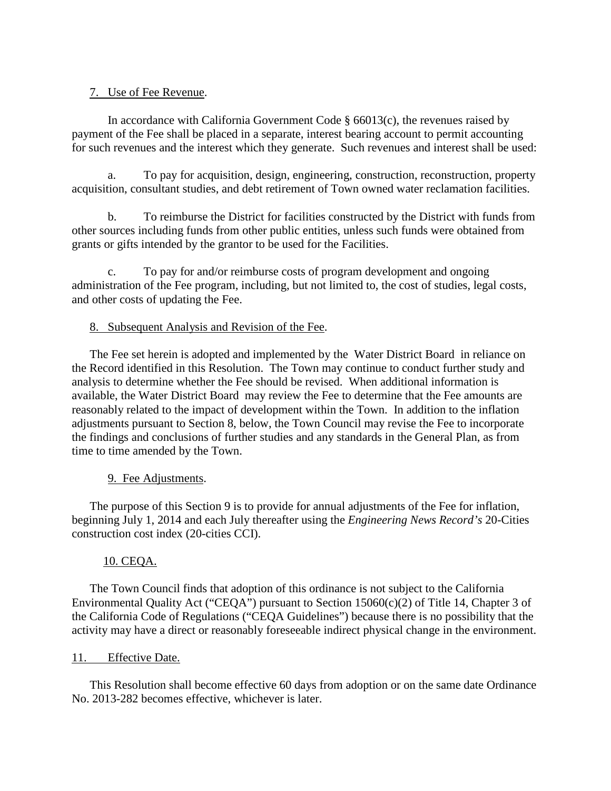## 7. Use of Fee Revenue.

In accordance with California Government Code § 66013(c), the revenues raised by payment of the Fee shall be placed in a separate, interest bearing account to permit accounting for such revenues and the interest which they generate. Such revenues and interest shall be used:

a. To pay for acquisition, design, engineering, construction, reconstruction, property acquisition, consultant studies, and debt retirement of Town owned water reclamation facilities.

b. To reimburse the District for facilities constructed by the District with funds from other sources including funds from other public entities, unless such funds were obtained from grants or gifts intended by the grantor to be used for the Facilities.

c. To pay for and/or reimburse costs of program development and ongoing administration of the Fee program, including, but not limited to, the cost of studies, legal costs, and other costs of updating the Fee.

## 8. Subsequent Analysis and Revision of the Fee.

The Fee set herein is adopted and implemented by the Water District Board in reliance on the Record identified in this Resolution. The Town may continue to conduct further study and analysis to determine whether the Fee should be revised. When additional information is available, the Water District Board may review the Fee to determine that the Fee amounts are reasonably related to the impact of development within the Town. In addition to the inflation adjustments pursuant to Section 8, below, the Town Council may revise the Fee to incorporate the findings and conclusions of further studies and any standards in the General Plan, as from time to time amended by the Town.

# 9. Fee Adjustments.

The purpose of this Section 9 is to provide for annual adjustments of the Fee for inflation, beginning July 1, 2014 and each July thereafter using the *Engineering News Record's* 20-Cities construction cost index (20-cities CCI).

# 10. CEQA.

The Town Council finds that adoption of this ordinance is not subject to the California Environmental Quality Act ("CEQA") pursuant to Section 15060(c)(2) of Title 14, Chapter 3 of the California Code of Regulations ("CEQA Guidelines") because there is no possibility that the activity may have a direct or reasonably foreseeable indirect physical change in the environment.

### 11. Effective Date.

This Resolution shall become effective 60 days from adoption or on the same date Ordinance No. 2013-282 becomes effective, whichever is later.